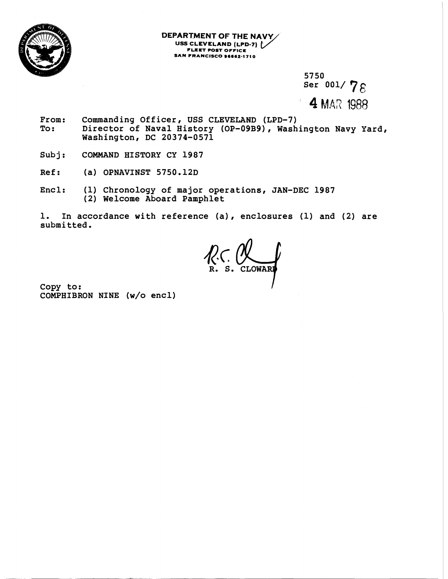

**DEPARTMENT OF THE NAVY USS CLEVELAND FLEET POST OFFlCL ARTMENT OF THE NAVY<br>USS CLEVELAND (LPD-7)**<br>FLEET POST OFFICE<br>SAN FRANCISCO 96662-1710

> **57 50**  Ser 001/78 **4** MAR 1988

- From: Commanding Officer, USS CLEVELAND (LPD-7)<br>To: Director of Naval History (OP-09B9), Wash Director of Naval History (OP-09B9), Washington Navy Yard, **Washington, DC 20374-0571**
- **Subj: COMMAND HISTORY CY 1987**
- **Ref:** (a) OPNAVINST 5750.12D
- **Encl: (1) Chronology of major operations, JAN-DEC 1987 (2) Welcome Aboard Pamphlet**

**1. In accordance with reference (a), enclosures (1) and (2) are submitted.** 

**2. P. S. CLOWARD** 

**Copy to: COMPHIBRON NINE (w/o encl)**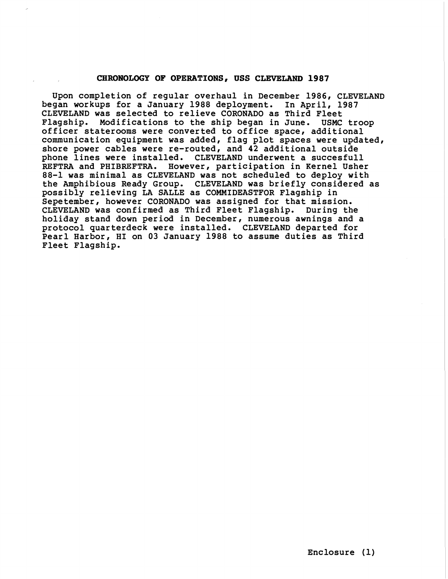## **CHRONOLOGY OF OPERATIONS, USS CLEVELAND 1987**

**Upon completion of regular overhaul in December 1986, CLEVELAND began workups for a January 1988 deployment. In April, 1987 CLEVELAND was selected to relieve CORONADO as Third Fleet Flagship. Modifications to the ship began in June. USMC troop officer staterooms were converted to office space, additional communication equipment was added, flag plot spaces were updated, shore power cables were re-routed, and 42 additional outside phone lines were installed. CLEVELAND underwent a succesfull REFTRA and PHIBREFTRA. However, participation in Kernel Usher 88-1 was minimal as CLEVELAND was not scheduled to deploy with the Amphibious Ready Group. CLEVELAND was briefly considered as possibly relieving LA SALLE as COMMIDEASTFOR Flagship in Sepetember, however CORONADO was assigned for that mission. CLEVELAND was confirmed as Third Fleet Flagship. During the holiday stand down period in December, numerous awnings and a protocol quarterdeck were installed. CLEVELAND departed for Pearl Harbor, HI on 03 January 1988 to assume duties as Third Fleet Flagship.**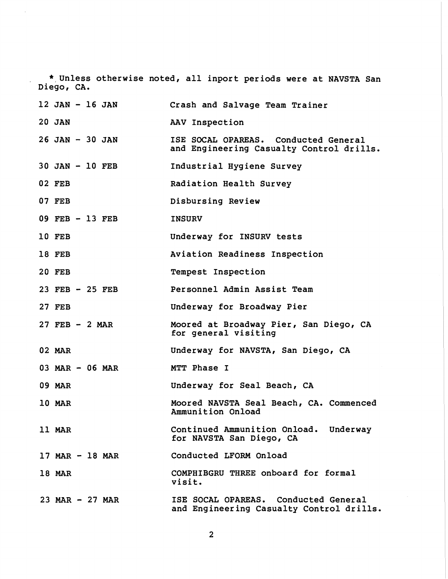\* **Unless otherwise noted, all inport periods were at NAVSTA San Diego, CA.** 

 $\hat{\mathcal{L}}$ 

| 12 JAN - 16 JAN     | Crash and Salvage Team Trainer                                                   |
|---------------------|----------------------------------------------------------------------------------|
| <b>20 JAN</b>       | AAV Inspection                                                                   |
| $26$ JAN $-$ 30 JAN | ISE SOCAL OPAREAS. Conducted General<br>and Engineering Casualty Control drills. |
| $30$ JAN $-$ 10 FEB | Industrial Hygiene Survey                                                        |
| <b>02 FEB</b>       | Radiation Health Survey                                                          |
| <b>07 FEB</b>       | Disbursing Review                                                                |
| 09 FEB - 13 FEB     | <b>INSURV</b>                                                                    |
| 10 FEB              | Underway for INSURV tests                                                        |
| 18 FEB              | Aviation Readiness Inspection                                                    |
| <b>20 FEB</b>       | Tempest Inspection                                                               |
| $23$ FEB - 25 FEB   | Personnel Admin Assist Team                                                      |
| <b>27 FEB</b>       | Underway for Broadway Pier                                                       |
| $27$ FEB - 2 MAR    | Moored at Broadway Pier, San Diego, CA<br>for general visiting                   |
| <b>02 MAR</b>       | Underway for NAVSTA, San Diego, CA                                               |
| 03 MAR - 06 MAR     | MTT Phase I                                                                      |
| <b>09 MAR</b>       | Underway for Seal Beach, CA                                                      |
| 10 MAR              | Moored NAVSTA Seal Beach, CA. Commenced<br>Ammunition Onload                     |
| 11 MAR              | Continued Ammunition Onload. Underway<br>for NAVSTA San Diego, CA                |
| $17$ MAR $-$ 18 MAR | Conducted LFORM Onload                                                           |
| 18 MAR              | COMPHIBGRU THREE onboard for formal<br>visit.                                    |
| $23$ MAR - $27$ MAR | ISE SOCAL OPAREAS. Conducted General<br>and Engineering Casualty Control drills. |

 $\overline{2}$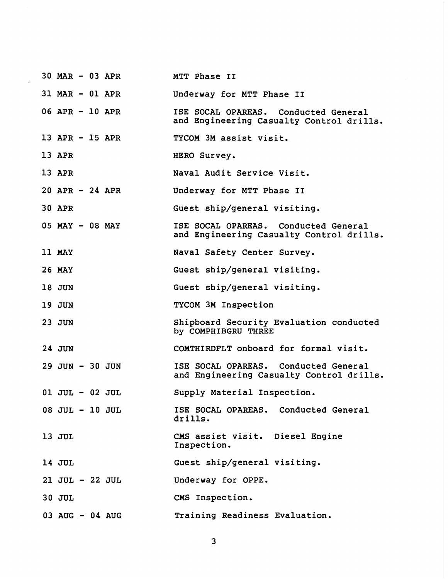| $30$ MAR $-$ 03 APR | MTT Phase II                                                                     |
|---------------------|----------------------------------------------------------------------------------|
| 31 MAR - 01 APR     | Underway for MTT Phase II                                                        |
| 06 APR - 10 APR     | ISE SOCAL OPAREAS. Conducted General<br>and Engineering Casualty Control drills. |
| 13 APR - 15 APR     | TYCOM 3M assist visit.                                                           |
| 13 APR              | HERO Survey.                                                                     |
| 13 APR              | Naval Audit Service Visit.                                                       |
| $20$ APR - 24 APR   | Underway for MTT Phase II                                                        |
| <b>30 APR</b>       | Guest ship/general visiting.                                                     |
| 05 MAY - 08 MAY     | ISE SOCAL OPAREAS. Conducted General<br>and Engineering Casualty Control drills. |
| 11 MAY              | Naval Safety Center Survey.                                                      |
| <b>26 MAY</b>       | Guest ship/general visiting.                                                     |
| <b>18 JUN</b>       | Guest ship/general visiting.                                                     |
| <b>19 JUN</b>       | TYCOM 3M Inspection                                                              |
| <b>23 JUN</b>       | Shipboard Security Evaluation conducted<br>by COMPHIBGRU THREE                   |
| <b>24 JUN</b>       | COMTHIRDFLT onboard for formal visit.                                            |
| 29 JUN - 30 JUN     | ISE SOCAL OPAREAS. Conducted General<br>and Engineering Casualty Control drills. |
| $01$ JUL - $02$ JUL | Supply Material Inspection.                                                      |
| 08 JUL - 10 JUL     | ISE SOCAL OPAREAS. Conducted General<br>drills.                                  |
| 13 JUL              | CMS assist visit. Diesel Engine<br>Inspection.                                   |
| 14 JUL              | Guest ship/general visiting.                                                     |
| 21 JUL - 22 JUL     | Underway for OPPE.                                                               |
| <b>30 JUL</b>       | CMS Inspection.                                                                  |
| 03 AUG - 04 AUG     | Training Readiness Evaluation.                                                   |

 $\overline{\mathbf{3}}$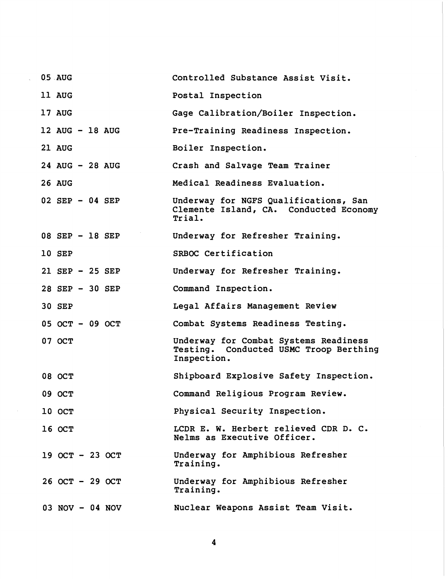| <b>0.5 AUG</b>    | Controlled Substance Assist Visit.                                                             |
|-------------------|------------------------------------------------------------------------------------------------|
| 11 AUG            | Postal Inspection                                                                              |
| 17 AUG            | Gage Calibration/Boiler Inspection.                                                            |
| 12 AUG - 18 AUG   | Pre-Training Readiness Inspection.                                                             |
| 21 AUG            | Boiler Inspection.                                                                             |
| 24 AUG - 28 AUG   | Crash and Salvage Team Trainer                                                                 |
| <b>26 AUG</b>     | Medical Readiness Evaluation.                                                                  |
| $02$ SEP - 04 SEP | Underway for NGFS Qualifications, San<br>Clemente Island, CA. Conducted Economy<br>Trial.      |
| 08 SEP - 18 SEP   | Underway for Refresher Training.                                                               |
| 10 SEP            | SRBOC Certification                                                                            |
| $21$ SEP - 25 SEP | Underway for Refresher Training.                                                               |
| 28 SEP - 30 SEP   | Command Inspection.                                                                            |
| <b>30 SEP</b>     | Legal Affairs Management Review                                                                |
| 05 OCT - 09 OCT   | Combat Systems Readiness Testing.                                                              |
| 07 OCT            | Underway for Combat Systems Readiness<br>Testing. Conducted USMC Troop Berthing<br>Inspection. |
| 08 OCT            | Shipboard Explosive Safety Inspection.                                                         |
| 09 OCT            | Command Religious Program Review.                                                              |
| 10 OCT            | Physical Security Inspection.                                                                  |
| 16 OCT            | LCDR E. W. Herbert relieved CDR D. C.<br>Nelms as Executive Officer.                           |
| 19 OCT - 23 OCT   | Underway for Amphibious Refresher<br>Training.                                                 |
| 26 OCT - 29 OCT   | Underway for Amphibious Refresher<br>Training.                                                 |
| $03$ NOV - 04 NOV | Nuclear Weapons Assist Team Visit.                                                             |

 $\overline{\mathbf{4}}$